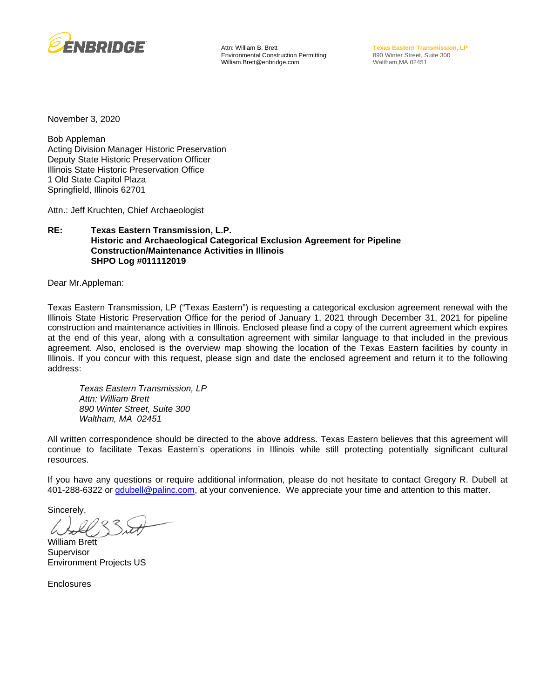

Attn: William B. Brett Environmental Construction Permitting William.Brett@enbridge.com

**Texas Eastern Transmission, LP** 890 Winter Street, Suite 300 Waltham,MA 02451

November 3, 2020

Bob Appleman Acting Division Manager Historic Preservation Deputy State Historic Preservation Officer Illinois State Historic Preservation Office 1 Old State Capitol Plaza Springfield, Illinois 62701

Attn.: Jeff Kruchten, Chief Archaeologist

#### **RE: Texas Eastern Transmission, L.P. Historic and Archaeological Categorical Exclusion Agreement for Pipeline Construction/Maintenance Activities in Illinois SHPO Log #011112019**

Dear Mr.Appleman:

Texas Eastern Transmission, LP ("Texas Eastern") is requesting a categorical exclusion agreement renewal with the Illinois State Historic Preservation Office for the period of January 1, 2021 through December 31, 2021 for pipeline construction and maintenance activities in Illinois. Enclosed please find a copy of the current agreement which expires at the end of this year, along with a consultation agreement with similar language to that included in the previous agreement. Also, enclosed is the overview map showing the location of the Texas Eastern facilities by county in Illinois. If you concur with this request, please sign and date the enclosed agreement and return it to the following address:

*Texas Eastern Transmission, LP Attn: William Brett 890 Winter Street, Suite 300 Waltham, MA 02451*

All written correspondence should be directed to the above address. Texas Eastern believes that this agreement will continue to facilitate Texas Eastern's operations in Illinois while still protecting potentially significant cultural resources.

If you have any questions or require additional information, please do not hesitate to contact Gregory R. Dubell at 401-288-6322 or *gdubell@palinc.com*, at your convenience. We appreciate your time and attention to this matter.

Sincerely,

William Brett **Supervisor** Environment Projects US

**Enclosures**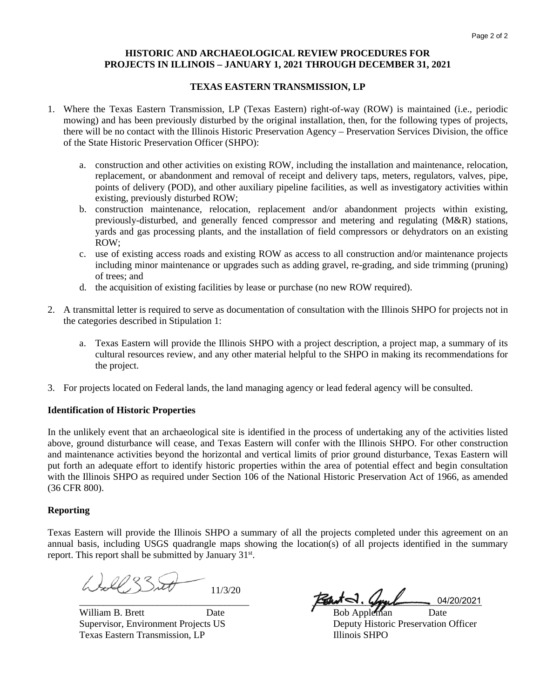### **HISTORIC AND ARCHAEOLOGICAL REVIEW PROCEDURES FOR PROJECTS IN ILLINOIS – JANUARY 1, 2021 THROUGH DECEMBER 31, 2021**

## **TEXAS EASTERN TRANSMISSION, LP**

- 1. Where the Texas Eastern Transmission, LP (Texas Eastern) right-of-way (ROW) is maintained (i.e., periodic mowing) and has been previously disturbed by the original installation, then, for the following types of projects, there will be no contact with the Illinois Historic Preservation Agency – Preservation Services Division, the office of the State Historic Preservation Officer (SHPO):
	- a. construction and other activities on existing ROW, including the installation and maintenance, relocation, replacement, or abandonment and removal of receipt and delivery taps, meters, regulators, valves, pipe, points of delivery (POD), and other auxiliary pipeline facilities, as well as investigatory activities within existing, previously disturbed ROW;
	- b. construction maintenance, relocation, replacement and/or abandonment projects within existing, previously-disturbed, and generally fenced compressor and metering and regulating (M&R) stations, yards and gas processing plants, and the installation of field compressors or dehydrators on an existing ROW;
	- c. use of existing access roads and existing ROW as access to all construction and/or maintenance projects including minor maintenance or upgrades such as adding gravel, re-grading, and side trimming (pruning) of trees; and
	- d. the acquisition of existing facilities by lease or purchase (no new ROW required).
- 2. A transmittal letter is required to serve as documentation of consultation with the Illinois SHPO for projects not in the categories described in Stipulation 1:
	- a. Texas Eastern will provide the Illinois SHPO with a project description, a project map, a summary of its cultural resources review, and any other material helpful to the SHPO in making its recommendations for the project.
- 3. For projects located on Federal lands, the land managing agency or lead federal agency will be consulted.

## **Identification of Historic Properties**

In the unlikely event that an archaeological site is identified in the process of undertaking any of the activities listed above, ground disturbance will cease, and Texas Eastern will confer with the Illinois SHPO. For other construction and maintenance activities beyond the horizontal and vertical limits of prior ground disturbance, Texas Eastern will put forth an adequate effort to identify historic properties within the area of potential effect and begin consultation with the Illinois SHPO as required under Section 106 of the National Historic Preservation Act of 1966, as amended (36 CFR 800).

#### **Reporting**

Texas Eastern will provide the Illinois SHPO a summary of all the projects completed under this agreement on an annual basis, including USGS quadrangle maps showing the location(s) of all projects identified in the summary report. This report shall be submitted by January 31<sup>st</sup>.

11/3/20

William B. Brett Date Date **Bob Appleman** Date Supervisor, Environment Projects US Deputy Historic Preservation Officer Texas Eastern Transmission, LP<br>
Illinois SHPO

 $\frac{1}{\sqrt{2kT}}$ .  $\frac{1}{2}$   $\frac{1}{202221}$ 04/20/2021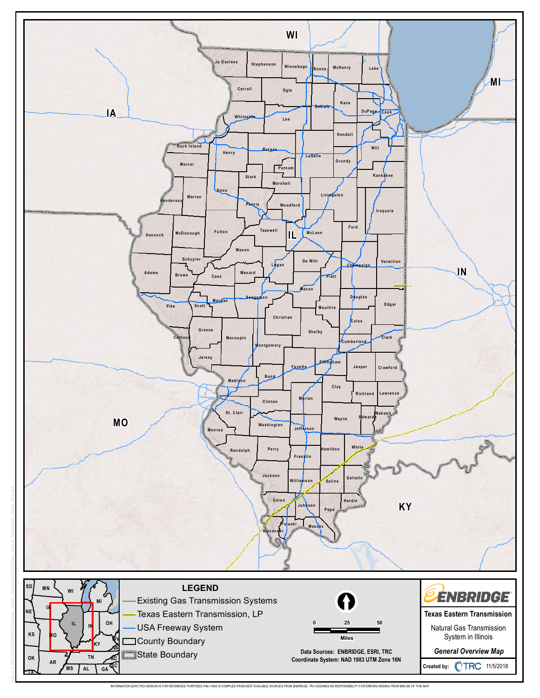

INFORMATION DEPICTED HEREON IS FOR REFERENCE PURPOSES ONLY AND IS COMPILED FROM BEST AVAILABLE SOURCES FROM ENBRIDGE. TRC ASSUMES NO RESPONSIBILITY FOR ERRORS ARISING FROM MISUSE OF THIS MAP.

Path: S:\1-PROJECTS\ENBRIDGE\Enbridge\_System\_Maps\3-MXD\2018\Texas\_Eastern\_Transmission\_Illinois\_2018.mxd